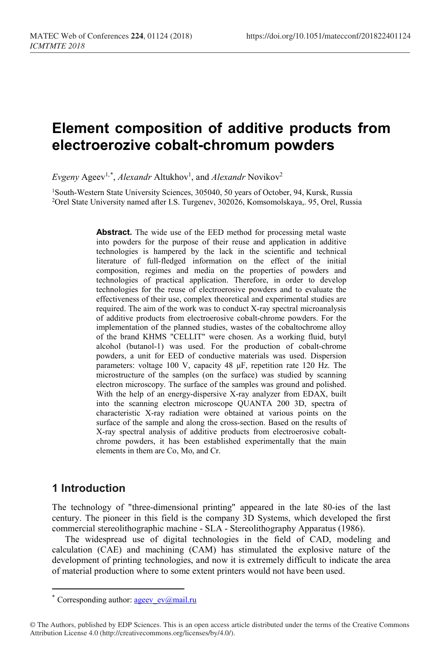# **Element composition of additive products from electroerozive cobalt-chromum powders**

Evgeny Ageev<sup>1,[\\*](#page-0-0)</sup>, *Alexandr* Altukhov<sup>1</sup>, and *Alexandr* Novikov<sup>2</sup>

1South-Western State University Sciences, 305040, 50 years of October, 94, Kursk, Russia 2Orel State University named after I.S. Turgenev, 302026, Komsomolskaya,. 95, Orel, Russia

> **Abstract.** The wide use of the EED method for processing metal waste into powders for the purpose of their reuse and application in additive technologies is hampered by the lack in the scientific and technical literature of full-fledged information on the effect of the initial composition, regimes and media on the properties of powders and technologies of practical application. Therefore, in order to develop technologies for the reuse of electroerosive powders and to evaluate the effectiveness of their use, complex theoretical and experimental studies are required. The aim of the work was to conduct X-ray spectral microanalysis of additive products from electroerosive cobalt-chrome powders. For the implementation of the planned studies, wastes of the cobaltochrome alloy of the brand KHMS "CELLIT" were chosen. As a working fluid, butyl alcohol (butanol-1) was used. For the production of cobalt-chrome powders, a unit for EED of conductive materials was used. Dispersion parameters: voltage 100 V, capacity 48 μF, repetition rate 120 Hz. The microstructure of the samples (on the surface) was studied by scanning electron microscopy. The surface of the samples was ground and polished. With the help of an energy-dispersive X-ray analyzer from EDAX, built into the scanning electron microscope QUANTA 200 3D, spectra of characteristic X-ray radiation were obtained at various points on the surface of the sample and along the cross-section. Based on the results of X-ray spectral analysis of additive products from electroerosive cobaltchrome powders, it has been established experimentally that the main elements in them are Co, Mo, and Cr.

## **1 Introduction**

 $\overline{a}$ 

The technology of "three-dimensional printing" appeared in the late 80-ies of the last century. The pioneer in this field is the company 3D Systems, which developed the first commercial stereolithographic machine - SLA - Stereolithography Apparatus (1986).

The widespread use of digital technologies in the field of CAD, modeling and calculation (CAE) and machining (CAM) has stimulated the explosive nature of the development of printing technologies, and now it is extremely difficult to indicate the area of material production where to some extent printers would not have been used.

<sup>\*</sup> Corresponding author:  $ageev$  ev@mail.ru

<span id="page-0-0"></span><sup>©</sup> The Authors, published by EDP Sciences. This is an open access article distributed under the terms of the Creative Commons Attribution License 4.0 (http://creativecommons.org/licenses/by/4.0/).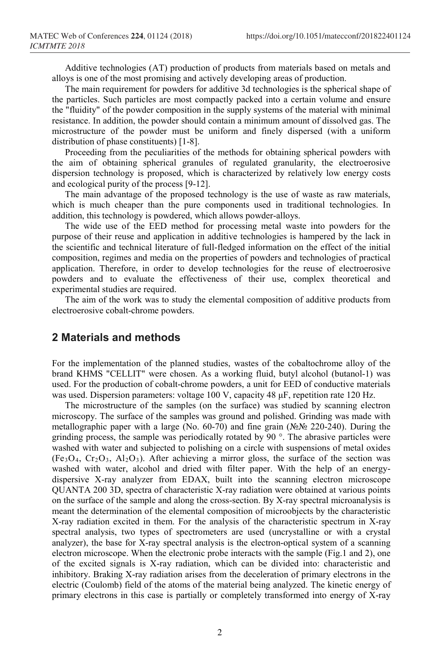Additive technologies (AT) production of products from materials based on metals and alloys is one of the most promising and actively developing areas of production.

The main requirement for powders for additive 3d technologies is the spherical shape of the particles. Such particles are most compactly packed into a certain volume and ensure the "fluidity" of the powder composition in the supply systems of the material with minimal resistance. In addition, the powder should contain a minimum amount of dissolved gas. The microstructure of the powder must be uniform and finely dispersed (with a uniform distribution of phase constituents) [1-8].

Proceeding from the peculiarities of the methods for obtaining spherical powders with the aim of obtaining spherical granules of regulated granularity, the electroerosive dispersion technology is proposed, which is characterized by relatively low energy costs and ecological purity of the process [9-12].

The main advantage of the proposed technology is the use of waste as raw materials, which is much cheaper than the pure components used in traditional technologies. In addition, this technology is powdered, which allows powder-alloys.

The wide use of the EED method for processing metal waste into powders for the purpose of their reuse and application in additive technologies is hampered by the lack in the scientific and technical literature of full-fledged information on the effect of the initial composition, regimes and media on the properties of powders and technologies of practical application. Therefore, in order to develop technologies for the reuse of electroerosive powders and to evaluate the effectiveness of their use, complex theoretical and experimental studies are required.

The aim of the work was to study the elemental composition of additive products from electroerosive cobalt-chrome powders.

#### **2 Materials and methods**

For the implementation of the planned studies, wastes of the cobaltochrome alloy of the brand KHMS "CELLIT" were chosen. As a working fluid, butyl alcohol (butanol-1) was used. For the production of cobalt-chrome powders, a unit for EED of conductive materials was used. Dispersion parameters: voltage 100 V, capacity 48 μF, repetition rate 120 Hz.

The microstructure of the samples (on the surface) was studied by scanning electron microscopy. The surface of the samples was ground and polished. Grinding was made with metallographic paper with a large (No. 60-70) and fine grain (№№ 220-240). During the grinding process, the sample was periodically rotated by 90 °. The abrasive particles were washed with water and subjected to polishing on a circle with suspensions of metal oxides  $(Fe<sub>3</sub>O<sub>4</sub>, Cr<sub>2</sub>O<sub>3</sub>, Al<sub>2</sub>O<sub>3</sub>)$ . After achieving a mirror gloss, the surface of the section was washed with water, alcohol and dried with filter paper. With the help of an energydispersive X-ray analyzer from EDAX, built into the scanning electron microscope QUANTA 200 3D, spectra of characteristic X-ray radiation were obtained at various points on the surface of the sample and along the cross-section. By X-ray spectral microanalysis is meant the determination of the elemental composition of microobjects by the characteristic X-ray radiation excited in them. For the analysis of the characteristic spectrum in X-ray spectral analysis, two types of spectrometers are used (uncrystalline or with a crystal analyzer), the base for X-ray spectral analysis is the electron-optical system of a scanning electron microscope. When the electronic probe interacts with the sample (Fig.1 and 2), one of the excited signals is X-ray radiation, which can be divided into: characteristic and inhibitory. Braking X-ray radiation arises from the deceleration of primary electrons in the electric (Coulomb) field of the atoms of the material being analyzed. The kinetic energy of primary electrons in this case is partially or completely transformed into energy of X-ray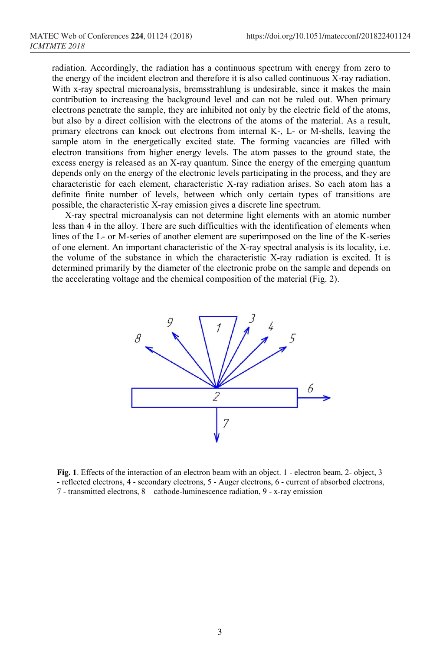radiation. Accordingly, the radiation has a continuous spectrum with energy from zero to the energy of the incident electron and therefore it is also called continuous X-ray radiation. With x-ray spectral microanalysis, bremsstrahlung is undesirable, since it makes the main contribution to increasing the background level and can not be ruled out. When primary electrons penetrate the sample, they are inhibited not only by the electric field of the atoms, but also by a direct collision with the electrons of the atoms of the material. As a result, primary electrons can knock out electrons from internal K-, L- or M-shells, leaving the sample atom in the energetically excited state. The forming vacancies are filled with electron transitions from higher energy levels. The atom passes to the ground state, the excess energy is released as an X-ray quantum. Since the energy of the emerging quantum depends only on the energy of the electronic levels participating in the process, and they are characteristic for each element, characteristic X-ray radiation arises. So each atom has a definite finite number of levels, between which only certain types of transitions are possible, the characteristic X-ray emission gives a discrete line spectrum.

X-ray spectral microanalysis can not determine light elements with an atomic number less than 4 in the alloy. There are such difficulties with the identification of elements when lines of the L- or M-series of another element are superimposed on the line of the K-series of one element. An important characteristic of the X-ray spectral analysis is its locality, i.e. the volume of the substance in which the characteristic X-ray radiation is excited. It is determined primarily by the diameter of the electronic probe on the sample and depends on the accelerating voltage and the chemical composition of the material (Fig. 2).



**Fig. 1**. Effects of the interaction of an electron beam with an object. 1 - electron beam, 2- object, 3 - reflected electrons, 4 - secondary electrons, 5 - Auger electrons, 6 - current of absorbed electrons, 7 - transmitted electrons, 8 – cathode-luminescence radiation, 9 - x-ray emission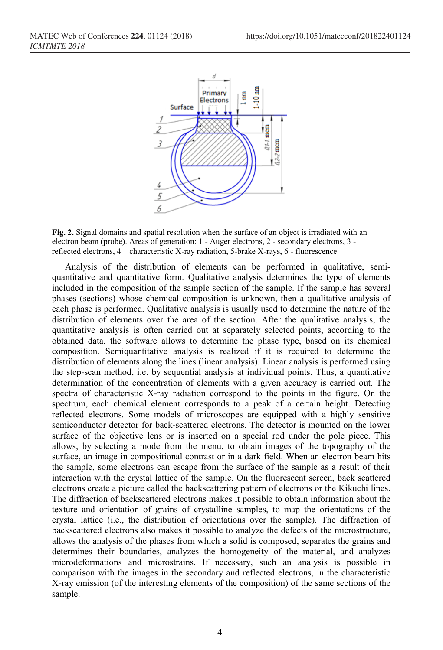

**Fig. 2.** Signal domains and spatial resolution when the surface of an object is irradiated with an electron beam (probe). Areas of generation: 1 - Auger electrons, 2 - secondary electrons, 3 reflected electrons, 4 – characteristic X-ray radiation, 5-brake X-rays, 6 - fluorescence

Analysis of the distribution of elements can be performed in qualitative, semiquantitative and quantitative form. Qualitative analysis determines the type of elements included in the composition of the sample section of the sample. If the sample has several phases (sections) whose chemical composition is unknown, then a qualitative analysis of each phase is performed. Qualitative analysis is usually used to determine the nature of the distribution of elements over the area of the section. After the qualitative analysis, the quantitative analysis is often carried out at separately selected points, according to the obtained data, the software allows to determine the phase type, based on its chemical composition. Semiquantitative analysis is realized if it is required to determine the distribution of elements along the lines (linear analysis). Linear analysis is performed using the step-scan method, i.e. by sequential analysis at individual points. Thus, a quantitative determination of the concentration of elements with a given accuracy is carried out. The spectra of characteristic X-ray radiation correspond to the points in the figure. On the spectrum, each chemical element corresponds to a peak of a certain height. Detecting reflected electrons. Some models of microscopes are equipped with a highly sensitive semiconductor detector for back-scattered electrons. The detector is mounted on the lower surface of the objective lens or is inserted on a special rod under the pole piece. This allows, by selecting a mode from the menu, to obtain images of the topography of the surface, an image in compositional contrast or in a dark field. When an electron beam hits the sample, some electrons can escape from the surface of the sample as a result of their interaction with the crystal lattice of the sample. On the fluorescent screen, back scattered electrons create a picture called the backscattering pattern of electrons or the Kikuchi lines. The diffraction of backscattered electrons makes it possible to obtain information about the texture and orientation of grains of crystalline samples, to map the orientations of the crystal lattice (i.e., the distribution of orientations over the sample). The diffraction of backscattered electrons also makes it possible to analyze the defects of the microstructure, allows the analysis of the phases from which a solid is composed, separates the grains and determines their boundaries, analyzes the homogeneity of the material, and analyzes microdeformations and microstrains. If necessary, such an analysis is possible in comparison with the images in the secondary and reflected electrons, in the characteristic X-ray emission (of the interesting elements of the composition) of the same sections of the sample.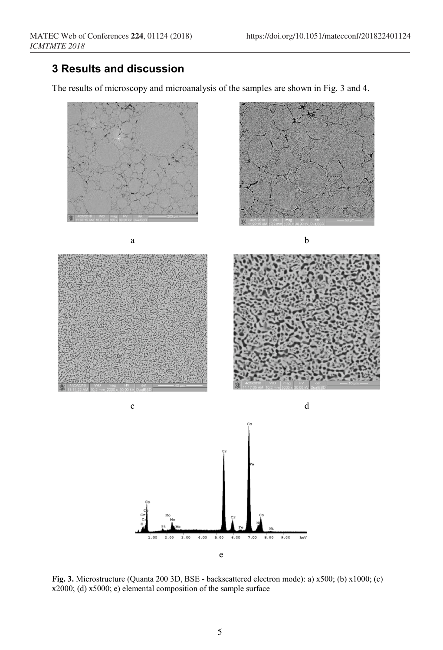## **3 Results and discussion**

The results of microscopy and microanalysis of the samples are shown in Fig. 3 and 4.



**Fig. 3.** Microstructure (Quanta 200 3D, BSE - backscattered electron mode): a) x500; (b) x1000; (c) x2000; (d) x5000; e) elemental composition of the sample surface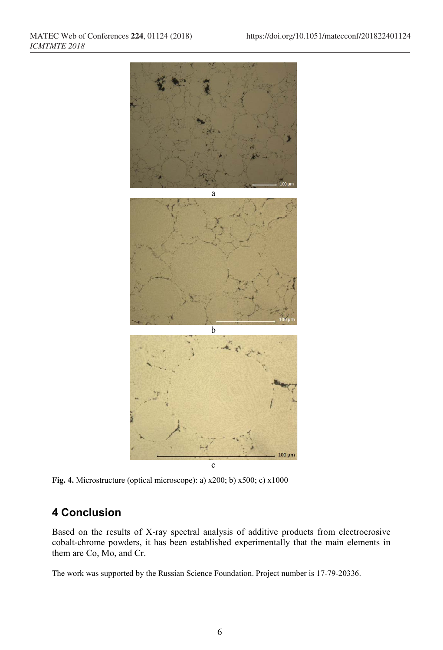

**Fig. 4.** Microstructure (optical microscope): a) x200; b) х500; c) x1000

## **4 Conclusion**

Based on the results of X-ray spectral analysis of additive products from electroerosive cobalt-chrome powders, it has been established experimentally that the main elements in them are Co, Mo, and Cr.

The work was supported by the Russian Science Foundation. Project number is 17-79-20336.